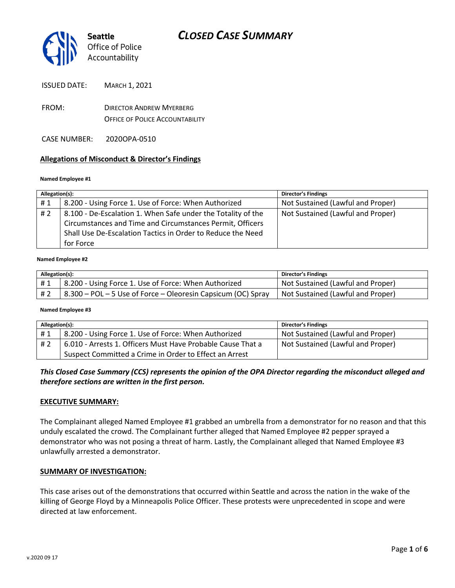

ISSUED DATE: MARCH 1, 2021

- FROM: DIRECTOR ANDREW MYERBERG OFFICE OF POLICE ACCOUNTABILITY
- CASE NUMBER: 2020OPA-0510

#### **Allegations of Misconduct & Director's Findings**

#### **Named Employee #1**

| Allegation(s):                                                                                                                                                                                              | Director's Findings               |
|-------------------------------------------------------------------------------------------------------------------------------------------------------------------------------------------------------------|-----------------------------------|
| 8.200 - Using Force 1. Use of Force: When Authorized<br>#1                                                                                                                                                  | Not Sustained (Lawful and Proper) |
| 8.100 - De-Escalation 1. When Safe under the Totality of the<br>#2<br>Circumstances and Time and Circumstances Permit, Officers<br>Shall Use De-Escalation Tactics in Order to Reduce the Need<br>for Force | Not Sustained (Lawful and Proper) |

#### **Named Employee #2**

| Allegation(s): |                                                                 | Director's Findings               |
|----------------|-----------------------------------------------------------------|-----------------------------------|
| H 1            | 8.200 - Using Force 1. Use of Force: When Authorized            | Not Sustained (Lawful and Proper) |
| #2             | $-8.300$ – POL – 5 Use of Force – Oleoresin Capsicum (OC) Spray | Not Sustained (Lawful and Proper) |

#### **Named Employee #3**

| Allegation(s): |                                                             | <b>Director's Findings</b>        |
|----------------|-------------------------------------------------------------|-----------------------------------|
| #1             | 8.200 - Using Force 1. Use of Force: When Authorized        | Not Sustained (Lawful and Proper) |
| #2             | 6.010 - Arrests 1. Officers Must Have Probable Cause That a | Not Sustained (Lawful and Proper) |
|                | Suspect Committed a Crime in Order to Effect an Arrest      |                                   |

*This Closed Case Summary (CCS) represents the opinion of the OPA Director regarding the misconduct alleged and therefore sections are written in the first person.* 

#### **EXECUTIVE SUMMARY:**

The Complainant alleged Named Employee #1 grabbed an umbrella from a demonstrator for no reason and that this unduly escalated the crowd. The Complainant further alleged that Named Employee #2 pepper sprayed a demonstrator who was not posing a threat of harm. Lastly, the Complainant alleged that Named Employee #3 unlawfully arrested a demonstrator.

#### **SUMMARY OF INVESTIGATION:**

This case arises out of the demonstrations that occurred within Seattle and across the nation in the wake of the killing of George Floyd by a Minneapolis Police Officer. These protests were unprecedented in scope and were directed at law enforcement.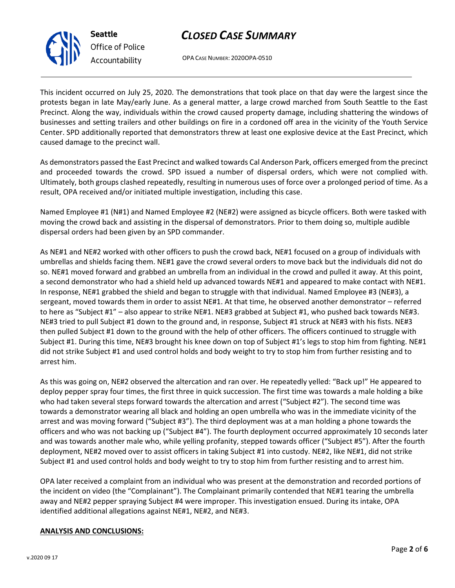

*Office of Police Accountability*

OPA CASE NUMBER: 2020OPA-0510

This incident occurred on July 25, 2020. The demonstrations that took place on that day were the largest since the protests began in late May/early June. As a general matter, a large crowd marched from South Seattle to the East Precinct. Along the way, individuals within the crowd caused property damage, including shattering the windows of businesses and setting trailers and other buildings on fire in a cordoned off area in the vicinity of the Youth Service Center. SPD additionally reported that demonstrators threw at least one explosive device at the East Precinct, which caused damage to the precinct wall.

As demonstrators passed the East Precinct and walked towards Cal Anderson Park, officers emerged from the precinct and proceeded towards the crowd. SPD issued a number of dispersal orders, which were not complied with. Ultimately, both groups clashed repeatedly, resulting in numerous uses of force over a prolonged period of time. As a result, OPA received and/or initiated multiple investigation, including this case.

Named Employee #1 (N#1) and Named Employee #2 (NE#2) were assigned as bicycle officers. Both were tasked with moving the crowd back and assisting in the dispersal of demonstrators. Prior to them doing so, multiple audible dispersal orders had been given by an SPD commander.

As NE#1 and NE#2 worked with other officers to push the crowd back, NE#1 focused on a group of individuals with umbrellas and shields facing them. NE#1 gave the crowd several orders to move back but the individuals did not do so. NE#1 moved forward and grabbed an umbrella from an individual in the crowd and pulled it away. At this point, a second demonstrator who had a shield held up advanced towards NE#1 and appeared to make contact with NE#1. In response, NE#1 grabbed the shield and began to struggle with that individual. Named Employee #3 (NE#3), a sergeant, moved towards them in order to assist NE#1. At that time, he observed another demonstrator – referred to here as "Subject #1" – also appear to strike NE#1. NE#3 grabbed at Subject #1, who pushed back towards NE#3. NE#3 tried to pull Subject #1 down to the ground and, in response, Subject #1 struck at NE#3 with his fists. NE#3 then pulled Subject #1 down to the ground with the help of other officers. The officers continued to struggle with Subject #1. During this time, NE#3 brought his knee down on top of Subject #1's legs to stop him from fighting. NE#1 did not strike Subject #1 and used control holds and body weight to try to stop him from further resisting and to arrest him.

As this was going on, NE#2 observed the altercation and ran over. He repeatedly yelled: "Back up!" He appeared to deploy pepper spray four times, the first three in quick succession. The first time was towards a male holding a bike who had taken several steps forward towards the altercation and arrest ("Subject #2"). The second time was towards a demonstrator wearing all black and holding an open umbrella who was in the immediate vicinity of the arrest and was moving forward ("Subject #3"). The third deployment was at a man holding a phone towards the officers and who was not backing up ("Subject #4"). The fourth deployment occurred approximately 10 seconds later and was towards another male who, while yelling profanity, stepped towards officer ("Subject #5"). After the fourth deployment, NE#2 moved over to assist officers in taking Subject #1 into custody. NE#2, like NE#1, did not strike Subject #1 and used control holds and body weight to try to stop him from further resisting and to arrest him.

OPA later received a complaint from an individual who was present at the demonstration and recorded portions of the incident on video (the "Complainant"). The Complainant primarily contended that NE#1 tearing the umbrella away and NE#2 pepper spraying Subject #4 were improper. This investigation ensued. During its intake, OPA identified additional allegations against NE#1, NE#2, and NE#3.

#### **ANALYSIS AND CONCLUSIONS:**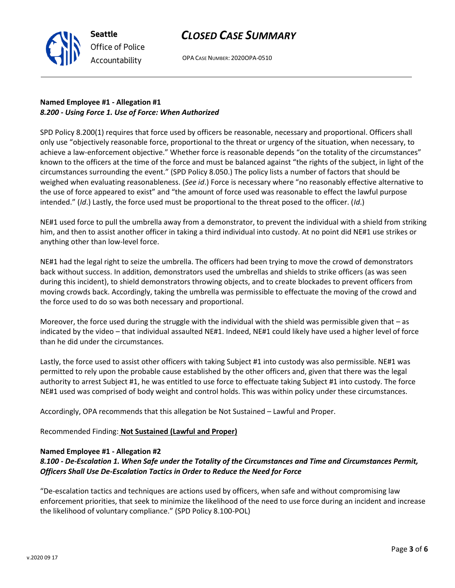**Seattle** *Office of Police Accountability*

OPA CASE NUMBER: 2020OPA-0510

## **Named Employee #1 - Allegation #1** *8.200 - Using Force 1. Use of Force: When Authorized*

SPD Policy 8.200(1) requires that force used by officers be reasonable, necessary and proportional. Officers shall only use "objectively reasonable force, proportional to the threat or urgency of the situation, when necessary, to achieve a law-enforcement objective." Whether force is reasonable depends "on the totality of the circumstances" known to the officers at the time of the force and must be balanced against "the rights of the subject, in light of the circumstances surrounding the event." (SPD Policy 8.050.) The policy lists a number of factors that should be weighed when evaluating reasonableness. (*See id*.) Force is necessary where "no reasonably effective alternative to the use of force appeared to exist" and "the amount of force used was reasonable to effect the lawful purpose intended." (*Id*.) Lastly, the force used must be proportional to the threat posed to the officer. (*Id*.)

NE#1 used force to pull the umbrella away from a demonstrator, to prevent the individual with a shield from striking him, and then to assist another officer in taking a third individual into custody. At no point did NE#1 use strikes or anything other than low-level force.

NE#1 had the legal right to seize the umbrella. The officers had been trying to move the crowd of demonstrators back without success. In addition, demonstrators used the umbrellas and shields to strike officers (as was seen during this incident), to shield demonstrators throwing objects, and to create blockades to prevent officers from moving crowds back. Accordingly, taking the umbrella was permissible to effectuate the moving of the crowd and the force used to do so was both necessary and proportional.

Moreover, the force used during the struggle with the individual with the shield was permissible given that – as indicated by the video – that individual assaulted NE#1. Indeed, NE#1 could likely have used a higher level of force than he did under the circumstances.

Lastly, the force used to assist other officers with taking Subject #1 into custody was also permissible. NE#1 was permitted to rely upon the probable cause established by the other officers and, given that there was the legal authority to arrest Subject #1, he was entitled to use force to effectuate taking Subject #1 into custody. The force NE#1 used was comprised of body weight and control holds. This was within policy under these circumstances.

Accordingly, OPA recommends that this allegation be Not Sustained – Lawful and Proper.

Recommended Finding: **Not Sustained (Lawful and Proper)**

### **Named Employee #1 - Allegation #2**

## *8.100 - De-Escalation 1. When Safe under the Totality of the Circumstances and Time and Circumstances Permit, Officers Shall Use De-Escalation Tactics in Order to Reduce the Need for Force*

"De-escalation tactics and techniques are actions used by officers, when safe and without compromising law enforcement priorities, that seek to minimize the likelihood of the need to use force during an incident and increase the likelihood of voluntary compliance." (SPD Policy 8.100-POL)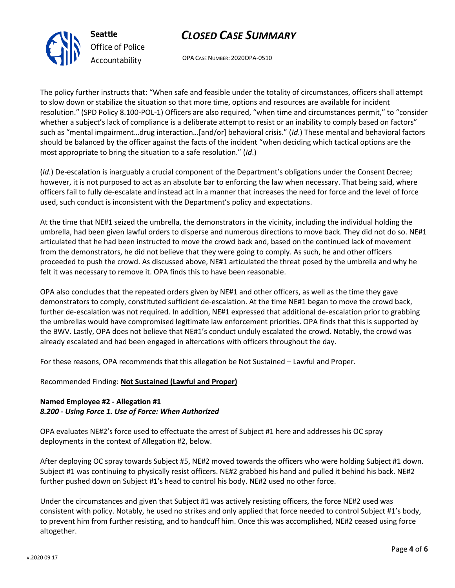OPA CASE NUMBER: 2020OPA-0510

The policy further instructs that: "When safe and feasible under the totality of circumstances, officers shall attempt to slow down or stabilize the situation so that more time, options and resources are available for incident resolution." (SPD Policy 8.100-POL-1) Officers are also required, "when time and circumstances permit," to "consider whether a subject's lack of compliance is a deliberate attempt to resist or an inability to comply based on factors" such as "mental impairment…drug interaction…[and/or] behavioral crisis." (*Id*.) These mental and behavioral factors should be balanced by the officer against the facts of the incident "when deciding which tactical options are the most appropriate to bring the situation to a safe resolution." (*Id*.)

(*Id*.) De-escalation is inarguably a crucial component of the Department's obligations under the Consent Decree; however, it is not purposed to act as an absolute bar to enforcing the law when necessary. That being said, where officers fail to fully de-escalate and instead act in a manner that increases the need for force and the level of force used, such conduct is inconsistent with the Department's policy and expectations.

At the time that NE#1 seized the umbrella, the demonstrators in the vicinity, including the individual holding the umbrella, had been given lawful orders to disperse and numerous directions to move back. They did not do so. NE#1 articulated that he had been instructed to move the crowd back and, based on the continued lack of movement from the demonstrators, he did not believe that they were going to comply. As such, he and other officers proceeded to push the crowd. As discussed above, NE#1 articulated the threat posed by the umbrella and why he felt it was necessary to remove it. OPA finds this to have been reasonable.

OPA also concludes that the repeated orders given by NE#1 and other officers, as well as the time they gave demonstrators to comply, constituted sufficient de-escalation. At the time NE#1 began to move the crowd back, further de-escalation was not required. In addition, NE#1 expressed that additional de-escalation prior to grabbing the umbrellas would have compromised legitimate law enforcement priorities. OPA finds that this is supported by the BWV. Lastly, OPA does not believe that NE#1's conduct unduly escalated the crowd. Notably, the crowd was already escalated and had been engaged in altercations with officers throughout the day.

For these reasons, OPA recommends that this allegation be Not Sustained – Lawful and Proper.

Recommended Finding: **Not Sustained (Lawful and Proper)**

### **Named Employee #2 - Allegation #1** *8.200 - Using Force 1. Use of Force: When Authorized*

OPA evaluates NE#2's force used to effectuate the arrest of Subject #1 here and addresses his OC spray deployments in the context of Allegation #2, below.

After deploying OC spray towards Subject #5, NE#2 moved towards the officers who were holding Subject #1 down. Subject #1 was continuing to physically resist officers. NE#2 grabbed his hand and pulled it behind his back. NE#2 further pushed down on Subject #1's head to control his body. NE#2 used no other force.

Under the circumstances and given that Subject #1 was actively resisting officers, the force NE#2 used was consistent with policy. Notably, he used no strikes and only applied that force needed to control Subject #1's body, to prevent him from further resisting, and to handcuff him. Once this was accomplished, NE#2 ceased using force altogether.



**Seattle** *Office of Police Accountability*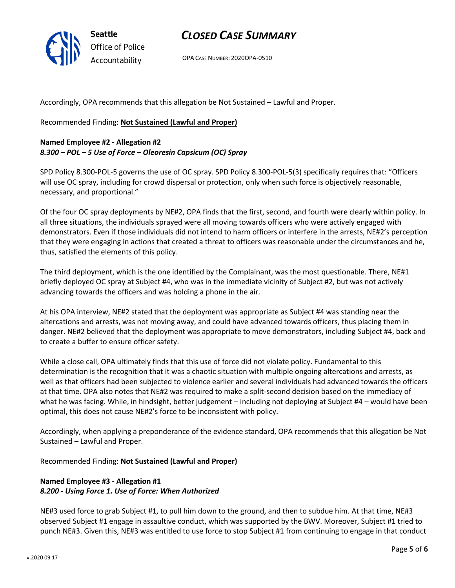

OPA CASE NUMBER: 2020OPA-0510

Accordingly, OPA recommends that this allegation be Not Sustained – Lawful and Proper.

Recommended Finding: **Not Sustained (Lawful and Proper)**

### **Named Employee #2 - Allegation #2** *8.300 – POL – 5 Use of Force – Oleoresin Capsicum (OC) Spray*

SPD Policy 8.300-POL-5 governs the use of OC spray. SPD Policy 8.300-POL-5(3) specifically requires that: "Officers will use OC spray, including for crowd dispersal or protection, only when such force is objectively reasonable, necessary, and proportional."

Of the four OC spray deployments by NE#2, OPA finds that the first, second, and fourth were clearly within policy. In all three situations, the individuals sprayed were all moving towards officers who were actively engaged with demonstrators. Even if those individuals did not intend to harm officers or interfere in the arrests, NE#2's perception that they were engaging in actions that created a threat to officers was reasonable under the circumstances and he, thus, satisfied the elements of this policy.

The third deployment, which is the one identified by the Complainant, was the most questionable. There, NE#1 briefly deployed OC spray at Subject #4, who was in the immediate vicinity of Subject #2, but was not actively advancing towards the officers and was holding a phone in the air.

At his OPA interview, NE#2 stated that the deployment was appropriate as Subject #4 was standing near the altercations and arrests, was not moving away, and could have advanced towards officers, thus placing them in danger. NE#2 believed that the deployment was appropriate to move demonstrators, including Subject #4, back and to create a buffer to ensure officer safety.

While a close call, OPA ultimately finds that this use of force did not violate policy. Fundamental to this determination is the recognition that it was a chaotic situation with multiple ongoing altercations and arrests, as well as that officers had been subjected to violence earlier and several individuals had advanced towards the officers at that time. OPA also notes that NE#2 was required to make a split-second decision based on the immediacy of what he was facing. While, in hindsight, better judgement – including not deploying at Subject #4 – would have been optimal, this does not cause NE#2's force to be inconsistent with policy.

Accordingly, when applying a preponderance of the evidence standard, OPA recommends that this allegation be Not Sustained – Lawful and Proper.

Recommended Finding: **Not Sustained (Lawful and Proper)**

## **Named Employee #3 - Allegation #1** *8.200 - Using Force 1. Use of Force: When Authorized*

NE#3 used force to grab Subject #1, to pull him down to the ground, and then to subdue him. At that time, NE#3 observed Subject #1 engage in assaultive conduct, which was supported by the BWV. Moreover, Subject #1 tried to punch NE#3. Given this, NE#3 was entitled to use force to stop Subject #1 from continuing to engage in that conduct